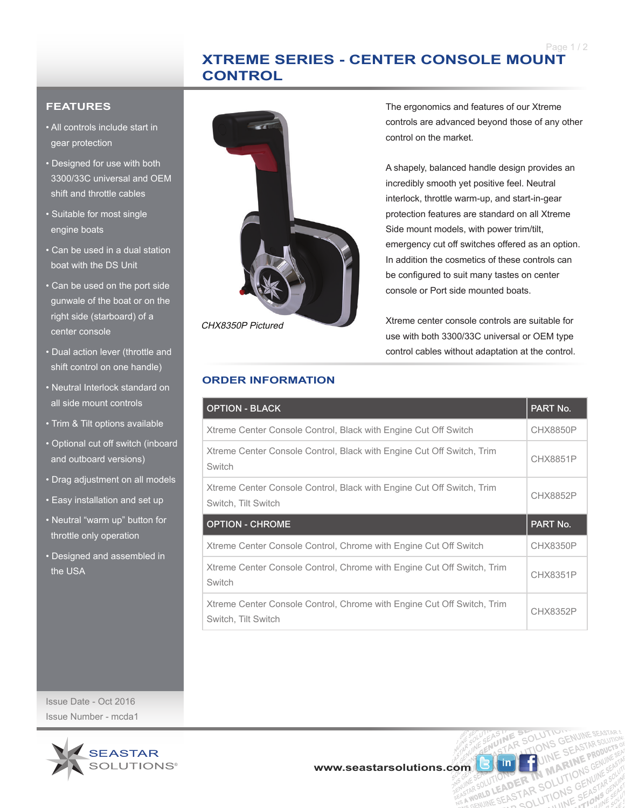## **XTREME SERIES - CENTER CONSOLE MOUNT CONTROL**

## **FEATURES**

- All controls include start in gear protection
- Designed for use with both 3300/33C universal and OEM shift and throttle cables
- Suitable for most single engine boats
- Can be used in a dual station boat with the DS Unit
- Can be used on the port side gunwale of the boat or on the right side (starboard) of a center console
- Dual action lever (throttle and shift control on one handle)
- Neutral Interlock standard on all side mount controls
- Trim & Tilt options available
- Optional cut off switch (inboard and outboard versions)
- Drag adjustment on all models
- Easy installation and set up
- Neutral "warm up" button for throttle only operation
- Designed and assembled in the USA



CHX8350P Pictured

The ergonomics and features of our Xtreme controls are advanced beyond those of any other control on the market.

A shapely, balanced handle design provides an incredibly smooth yet positive feel. Neutral interlock, throttle warm-up, and start-in-gear protection features are standard on all Xtreme Side mount models, with power trim/tilt, emergency cut off switches offered as an option. In addition the cosmetics of these controls can be configured to suit many tastes on center console or Port side mounted boats.

Xtreme center console controls are suitable for use with both 3300/33C universal or OEM type control cables without adaptation at the control.

ION **ER IN**<br>LEADER SOL<br>SEASTAR SOLUTIC

LUTIONS

## **ORDER INFORMATION**

| <b>OPTION - BLACK</b>                                                                        | PART No.        |
|----------------------------------------------------------------------------------------------|-----------------|
| Xtreme Center Console Control, Black with Engine Cut Off Switch                              | <b>CHX8850P</b> |
| Xtreme Center Console Control, Black with Engine Cut Off Switch, Trim<br>Switch              | <b>CHX8851P</b> |
| Xtreme Center Console Control, Black with Engine Cut Off Switch, Trim<br>Switch, Tilt Switch | CHX8852P        |
| <b>OPTION - CHROME</b>                                                                       |                 |
|                                                                                              | PART No.        |
| Xtreme Center Console Control, Chrome with Engine Cut Off Switch                             | <b>CHX8350P</b> |
| Xtreme Center Console Control, Chrome with Engine Cut Off Switch, Trim<br>Switch             | CHX8351P        |

Issue Date - Oct 2016 Issue Number - mcda1